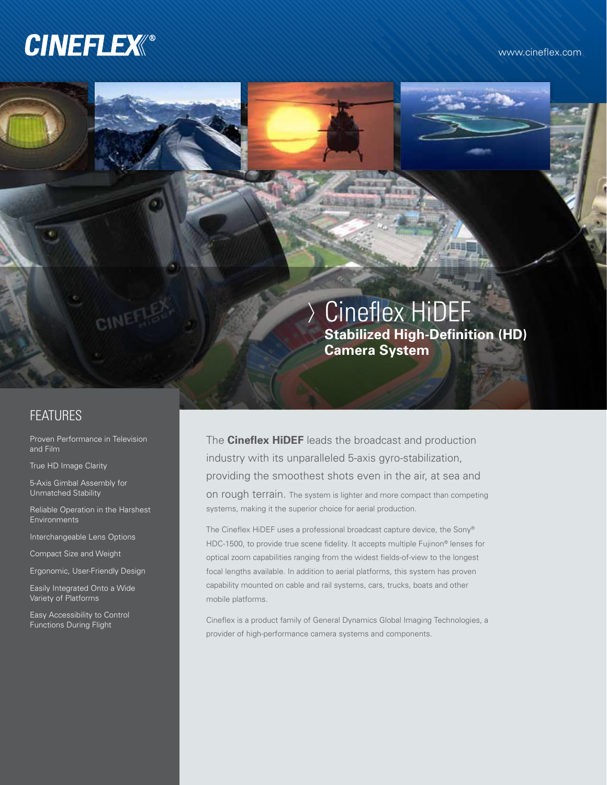# **CINEFLEX®**

www.cineflex.com

## Cineflex HiDEF **Stabilized High-Definition (HD) Camera System**

## FEATURES

Proven Performance in Television and Film

CINE

True HD Image Clarity

5-Axis Gimbal Assembly for Unmatched Stability

Reliable Operation in the Harshest **Environments** 

Interchangeable Lens Options

Compact Size and Weight

Ergonomic, User-Friendly Design

Easily Integrated Onto a Wide Variety of Platforms

Easy Accessibility to Control Functions During Flight

The **Cineflex HiDEF** leads the broadcast and production industry with its unparalleled 5-axis gyro-stabilization, providing the smoothest shots even in the air, at sea and on rough terrain. The system is lighter and more compact than competing systems, making it the superior choice for aerial production.

The Cineflex HiDEF uses a professional broadcast capture device, the Sony® HDC-1500, to provide true scene fidelity. It accepts multiple Fujinon® lenses for optical zoom capabilities ranging from the widest fields-of-view to the longest focal lengths available. In addition to aerial platforms, this system has proven capability mounted on cable and rail systems, cars, trucks, boats and other mobile platforms.

Cineflex is a product family of General Dynamics Global Imaging Technologies, a provider of high-performance camera systems and components.